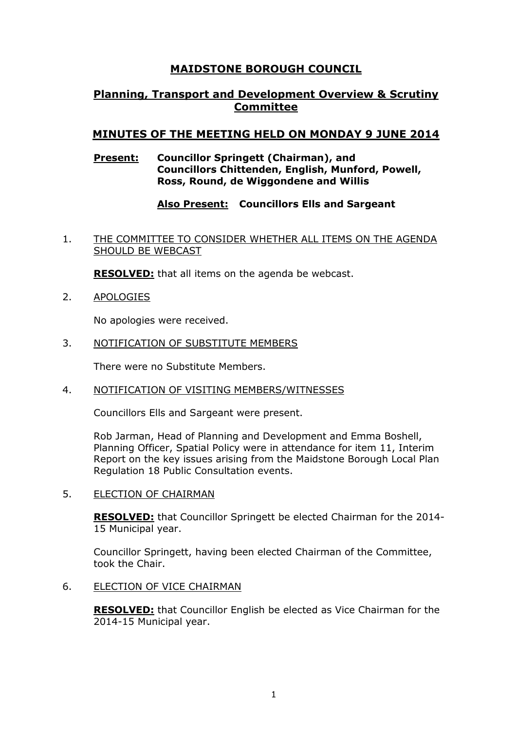# **MAIDSTONE BOROUGH COUNCIL**

# **Planning, Transport and Development Overview & Scrutiny Committee**

# **MINUTES OF THE MEETING HELD ON MONDAY 9 JUNE 2014**

### **Present: Councillor Springett (Chairman), and Councillors Chittenden, English, Munford, Powell, Ross, Round, de Wiggondene and Willis**

# **Also Present: Councillors Ells and Sargeant**

1. THE COMMITTEE TO CONSIDER WHETHER ALL ITEMS ON THE AGENDA SHOULD BE WEBCAST

**RESOLVED:** that all items on the agenda be webcast.

2. APOLOGIES

No apologies were received.

3. NOTIFICATION OF SUBSTITUTE MEMBERS

There were no Substitute Members.

4. NOTIFICATION OF VISITING MEMBERS/WITNESSES

Councillors Ells and Sargeant were present.

Rob Jarman, Head of Planning and Development and Emma Boshell, Planning Officer, Spatial Policy were in attendance for item 11, Interim Report on the key issues arising from the Maidstone Borough Local Plan Regulation 18 Public Consultation events.

5. ELECTION OF CHAIRMAN

**RESOLVED:** that Councillor Springett be elected Chairman for the 2014- 15 Municipal year.

Councillor Springett, having been elected Chairman of the Committee, took the Chair.

6. ELECTION OF VICE CHAIRMAN

**RESOLVED:** that Councillor English be elected as Vice Chairman for the 2014-15 Municipal year.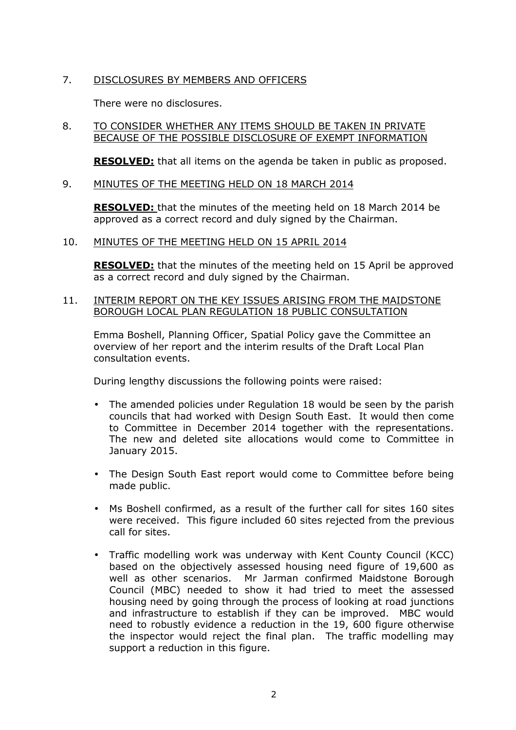# 7. DISCLOSURES BY MEMBERS AND OFFICERS

There were no disclosures.

### 8. TO CONSIDER WHETHER ANY ITEMS SHOULD BE TAKEN IN PRIVATE BECAUSE OF THE POSSIBLE DISCLOSURE OF EXEMPT INFORMATION

**RESOLVED:** that all items on the agenda be taken in public as proposed.

### 9. MINUTES OF THE MEETING HELD ON 18 MARCH 2014

**RESOLVED:** that the minutes of the meeting held on 18 March 2014 be approved as a correct record and duly signed by the Chairman.

10. MINUTES OF THE MEETING HELD ON 15 APRIL 2014

**RESOLVED:** that the minutes of the meeting held on 15 April be approved as a correct record and duly signed by the Chairman.

### 11. INTERIM REPORT ON THE KEY ISSUES ARISING FROM THE MAIDSTONE BOROUGH LOCAL PLAN REGULATION 18 PUBLIC CONSULTATION

Emma Boshell, Planning Officer, Spatial Policy gave the Committee an overview of her report and the interim results of the Draft Local Plan consultation events.

During lengthy discussions the following points were raised:

- The amended policies under Regulation 18 would be seen by the parish councils that had worked with Design South East. It would then come to Committee in December 2014 together with the representations. The new and deleted site allocations would come to Committee in January 2015.
- The Design South East report would come to Committee before being made public.
- Ms Boshell confirmed, as a result of the further call for sites 160 sites were received. This figure included 60 sites rejected from the previous call for sites.
- Traffic modelling work was underway with Kent County Council (KCC) based on the objectively assessed housing need figure of 19,600 as well as other scenarios. Mr Jarman confirmed Maidstone Borough Council (MBC) needed to show it had tried to meet the assessed housing need by going through the process of looking at road junctions and infrastructure to establish if they can be improved. MBC would need to robustly evidence a reduction in the 19, 600 figure otherwise the inspector would reject the final plan. The traffic modelling may support a reduction in this figure.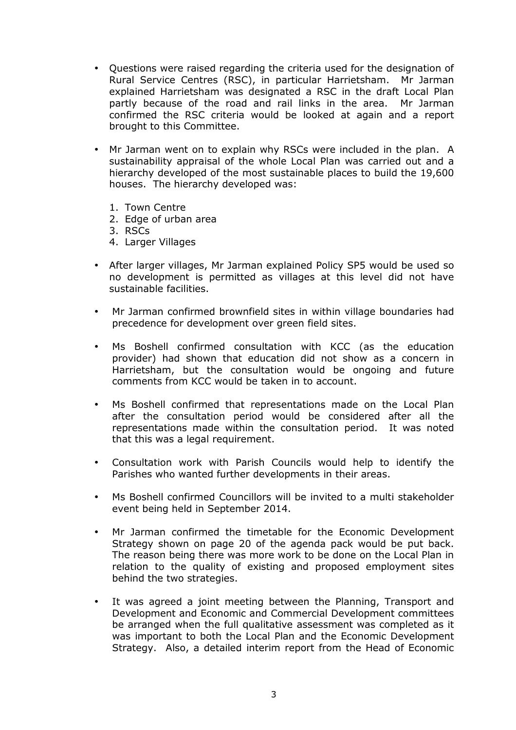- Questions were raised regarding the criteria used for the designation of Rural Service Centres (RSC), in particular Harrietsham. Mr Jarman explained Harrietsham was designated a RSC in the draft Local Plan partly because of the road and rail links in the area. Mr Jarman confirmed the RSC criteria would be looked at again and a report brought to this Committee.
- Mr Jarman went on to explain why RSCs were included in the plan. A sustainability appraisal of the whole Local Plan was carried out and a hierarchy developed of the most sustainable places to build the 19,600 houses. The hierarchy developed was:
	- 1. Town Centre
	- 2. Edge of urban area
	- 3. RSCs
	- 4. Larger Villages
- After larger villages, Mr Jarman explained Policy SP5 would be used so no development is permitted as villages at this level did not have sustainable facilities.
- Mr Jarman confirmed brownfield sites in within village boundaries had precedence for development over green field sites.
- Ms Boshell confirmed consultation with KCC (as the education provider) had shown that education did not show as a concern in Harrietsham, but the consultation would be ongoing and future comments from KCC would be taken in to account.
- Ms Boshell confirmed that representations made on the Local Plan after the consultation period would be considered after all the representations made within the consultation period. It was noted that this was a legal requirement.
- Consultation work with Parish Councils would help to identify the Parishes who wanted further developments in their areas.
- Ms Boshell confirmed Councillors will be invited to a multi stakeholder event being held in September 2014.
- Mr Jarman confirmed the timetable for the Economic Development Strategy shown on page 20 of the agenda pack would be put back. The reason being there was more work to be done on the Local Plan in relation to the quality of existing and proposed employment sites behind the two strategies.
- It was agreed a joint meeting between the Planning, Transport and Development and Economic and Commercial Development committees be arranged when the full qualitative assessment was completed as it was important to both the Local Plan and the Economic Development Strategy. Also, a detailed interim report from the Head of Economic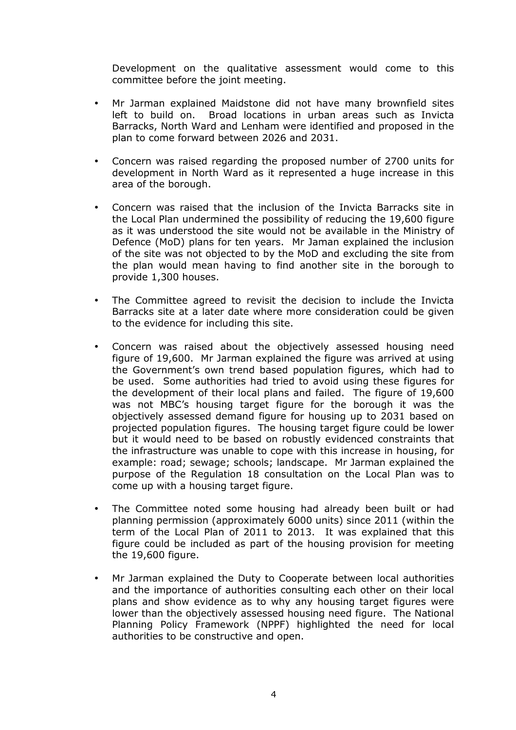Development on the qualitative assessment would come to this committee before the joint meeting.

- Mr Jarman explained Maidstone did not have many brownfield sites left to build on. Broad locations in urban areas such as Invicta Barracks, North Ward and Lenham were identified and proposed in the plan to come forward between 2026 and 2031.
- Concern was raised regarding the proposed number of 2700 units for development in North Ward as it represented a huge increase in this area of the borough.
- Concern was raised that the inclusion of the Invicta Barracks site in the Local Plan undermined the possibility of reducing the 19,600 figure as it was understood the site would not be available in the Ministry of Defence (MoD) plans for ten years. Mr Jaman explained the inclusion of the site was not objected to by the MoD and excluding the site from the plan would mean having to find another site in the borough to provide 1,300 houses.
- The Committee agreed to revisit the decision to include the Invicta Barracks site at a later date where more consideration could be given to the evidence for including this site.
- Concern was raised about the objectively assessed housing need figure of 19,600. Mr Jarman explained the figure was arrived at using the Government's own trend based population figures, which had to be used. Some authorities had tried to avoid using these figures for the development of their local plans and failed. The figure of 19,600 was not MBC's housing target figure for the borough it was the objectively assessed demand figure for housing up to 2031 based on projected population figures. The housing target figure could be lower but it would need to be based on robustly evidenced constraints that the infrastructure was unable to cope with this increase in housing, for example: road; sewage; schools; landscape. Mr Jarman explained the purpose of the Regulation 18 consultation on the Local Plan was to come up with a housing target figure.
- The Committee noted some housing had already been built or had planning permission (approximately 6000 units) since 2011 (within the term of the Local Plan of 2011 to 2013. It was explained that this figure could be included as part of the housing provision for meeting the 19,600 figure.
- Mr Jarman explained the Duty to Cooperate between local authorities and the importance of authorities consulting each other on their local plans and show evidence as to why any housing target figures were lower than the objectively assessed housing need figure. The National Planning Policy Framework (NPPF) highlighted the need for local authorities to be constructive and open.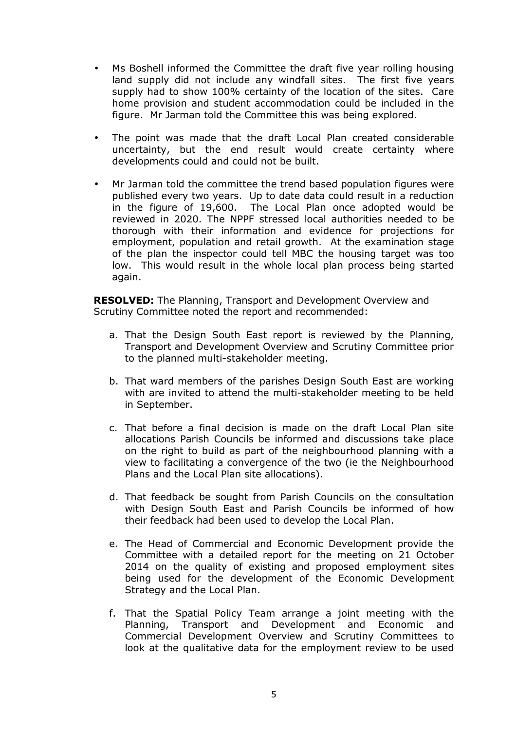- Ms Boshell informed the Committee the draft five year rolling housing land supply did not include any windfall sites. The first five years supply had to show 100% certainty of the location of the sites. Care home provision and student accommodation could be included in the figure. Mr Jarman told the Committee this was being explored.
- The point was made that the draft Local Plan created considerable uncertainty, but the end result would create certainty where developments could and could not be built.
- Mr Jarman told the committee the trend based population figures were published every two years. Up to date data could result in a reduction in the figure of 19,600. The Local Plan once adopted would be reviewed in 2020. The NPPF stressed local authorities needed to be thorough with their information and evidence for projections for employment, population and retail growth. At the examination stage of the plan the inspector could tell MBC the housing target was too low. This would result in the whole local plan process being started again.

**RESOLVED:** The Planning, Transport and Development Overview and Scrutiny Committee noted the report and recommended:

- a. That the Design South East report is reviewed by the Planning, Transport and Development Overview and Scrutiny Committee prior to the planned multi-stakeholder meeting.
- b. That ward members of the parishes Design South East are working with are invited to attend the multi-stakeholder meeting to be held in September.
- c. That before a final decision is made on the draft Local Plan site allocations Parish Councils be informed and discussions take place on the right to build as part of the neighbourhood planning with a view to facilitating a convergence of the two (ie the Neighbourhood Plans and the Local Plan site allocations).
- d. That feedback be sought from Parish Councils on the consultation with Design South East and Parish Councils be informed of how their feedback had been used to develop the Local Plan.
- e. The Head of Commercial and Economic Development provide the Committee with a detailed report for the meeting on 21 October 2014 on the quality of existing and proposed employment sites being used for the development of the Economic Development Strategy and the Local Plan.
- f. That the Spatial Policy Team arrange a joint meeting with the Planning, Transport and Development and Economic and Commercial Development Overview and Scrutiny Committees to look at the qualitative data for the employment review to be used